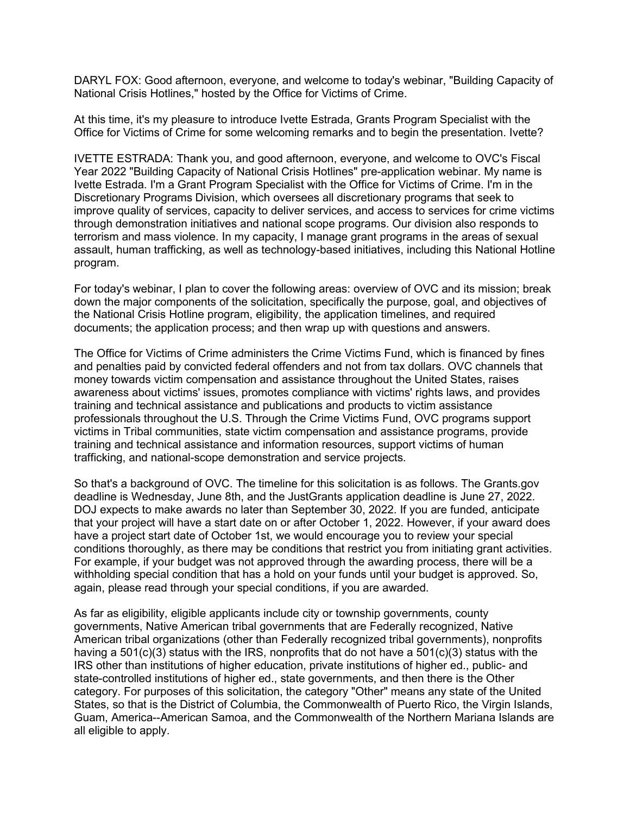DARYL FOX: Good afternoon, everyone, and welcome to today's webinar, "Building Capacity of National Crisis Hotlines," hosted by the Office for Victims of Crime.

At this time, it's my pleasure to introduce Ivette Estrada, Grants Program Specialist with the Office for Victims of Crime for some welcoming remarks and to begin the presentation. Ivette?

IVETTE ESTRADA: Thank you, and good afternoon, everyone, and welcome to OVC's Fiscal Year 2022 "Building Capacity of National Crisis Hotlines" pre-application webinar. My name is Ivette Estrada. I'm a Grant Program Specialist with the Office for Victims of Crime. I'm in the Discretionary Programs Division, which oversees all discretionary programs that seek to improve quality of services, capacity to deliver services, and access to services for crime victims through demonstration initiatives and national scope programs. Our division also responds to terrorism and mass violence. In my capacity, I manage grant programs in the areas of sexual assault, human trafficking, as well as technology-based initiatives, including this National Hotline program.

For today's webinar, I plan to cover the following areas: overview of OVC and its mission; break down the major components of the solicitation, specifically the purpose, goal, and objectives of the National Crisis Hotline program, eligibility, the application timelines, and required documents; the application process; and then wrap up with questions and answers.

The Office for Victims of Crime administers the Crime Victims Fund, which is financed by fines and penalties paid by convicted federal offenders and not from tax dollars. OVC channels that money towards victim compensation and assistance throughout the United States, raises awareness about victims' issues, promotes compliance with victims' rights laws, and provides training and technical assistance and publications and products to victim assistance professionals throughout the U.S. Through the Crime Victims Fund, OVC programs support victims in Tribal communities, state victim compensation and assistance programs, provide training and technical assistance and information resources, support victims of human trafficking, and national-scope demonstration and service projects.

So that's a background of OVC. The timeline for this solicitation is as follows. The Grants.gov deadline is Wednesday, June 8th, and the JustGrants application deadline is June 27, 2022. DOJ expects to make awards no later than September 30, 2022. If you are funded, anticipate that your project will have a start date on or after October 1, 2022. However, if your award does have a project start date of October 1st, we would encourage you to review your special conditions thoroughly, as there may be conditions that restrict you from initiating grant activities. For example, if your budget was not approved through the awarding process, there will be a withholding special condition that has a hold on your funds until your budget is approved. So, again, please read through your special conditions, if you are awarded.

As far as eligibility, eligible applicants include city or township governments, county governments, Native American tribal governments that are Federally recognized, Native American tribal organizations (other than Federally recognized tribal governments), nonprofits having a 501(c)(3) status with the IRS, nonprofits that do not have a 501(c)(3) status with the IRS other than institutions of higher education, private institutions of higher ed., public- and state-controlled institutions of higher ed., state governments, and then there is the Other category. For purposes of this solicitation, the category "Other" means any state of the United States, so that is the District of Columbia, the Commonwealth of Puerto Rico, the Virgin Islands, Guam, America--American Samoa, and the Commonwealth of the Northern Mariana Islands are all eligible to apply.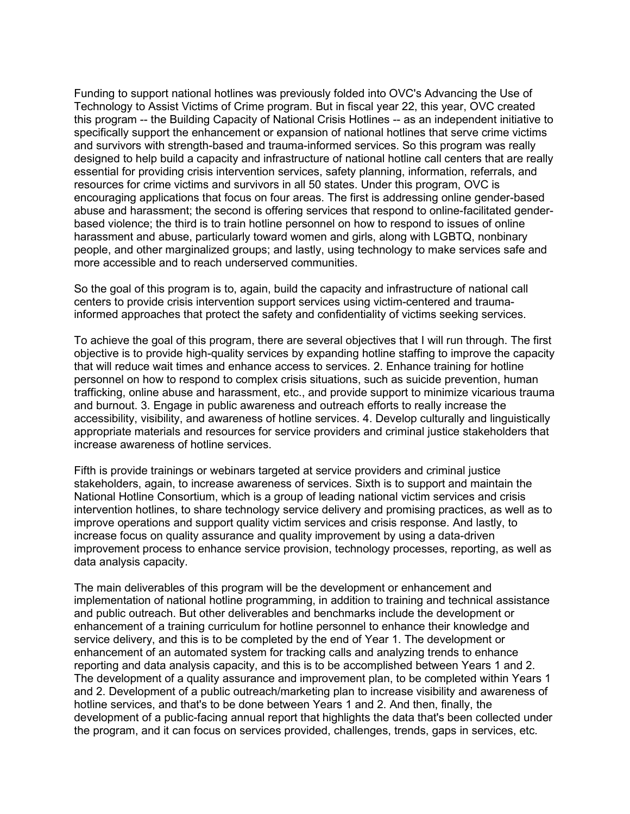Funding to support national hotlines was previously folded into OVC's Advancing the Use of Technology to Assist Victims of Crime program. But in fiscal year 22, this year, OVC created this program -- the Building Capacity of National Crisis Hotlines -- as an independent initiative to specifically support the enhancement or expansion of national hotlines that serve crime victims and survivors with strength-based and trauma-informed services. So this program was really designed to help build a capacity and infrastructure of national hotline call centers that are really essential for providing crisis intervention services, safety planning, information, referrals, and resources for crime victims and survivors in all 50 states. Under this program, OVC is encouraging applications that focus on four areas. The first is addressing online gender-based abuse and harassment; the second is offering services that respond to online-facilitated genderbased violence; the third is to train hotline personnel on how to respond to issues of online harassment and abuse, particularly toward women and girls, along with LGBTQ, nonbinary people, and other marginalized groups; and lastly, using technology to make services safe and more accessible and to reach underserved communities.

So the goal of this program is to, again, build the capacity and infrastructure of national call centers to provide crisis intervention support services using victim-centered and traumainformed approaches that protect the safety and confidentiality of victims seeking services.

To achieve the goal of this program, there are several objectives that I will run through. The first objective is to provide high-quality services by expanding hotline staffing to improve the capacity that will reduce wait times and enhance access to services. 2. Enhance training for hotline personnel on how to respond to complex crisis situations, such as suicide prevention, human trafficking, online abuse and harassment, etc., and provide support to minimize vicarious trauma and burnout. 3. Engage in public awareness and outreach efforts to really increase the accessibility, visibility, and awareness of hotline services. 4. Develop culturally and linguistically appropriate materials and resources for service providers and criminal justice stakeholders that increase awareness of hotline services.

Fifth is provide trainings or webinars targeted at service providers and criminal justice stakeholders, again, to increase awareness of services. Sixth is to support and maintain the National Hotline Consortium, which is a group of leading national victim services and crisis intervention hotlines, to share technology service delivery and promising practices, as well as to improve operations and support quality victim services and crisis response. And lastly, to increase focus on quality assurance and quality improvement by using a data-driven improvement process to enhance service provision, technology processes, reporting, as well as data analysis capacity.

The main deliverables of this program will be the development or enhancement and implementation of national hotline programming, in addition to training and technical assistance and public outreach. But other deliverables and benchmarks include the development or enhancement of a training curriculum for hotline personnel to enhance their knowledge and service delivery, and this is to be completed by the end of Year 1. The development or enhancement of an automated system for tracking calls and analyzing trends to enhance reporting and data analysis capacity, and this is to be accomplished between Years 1 and 2. The development of a quality assurance and improvement plan, to be completed within Years 1 and 2. Development of a public outreach/marketing plan to increase visibility and awareness of hotline services, and that's to be done between Years 1 and 2. And then, finally, the development of a public-facing annual report that highlights the data that's been collected under the program, and it can focus on services provided, challenges, trends, gaps in services, etc.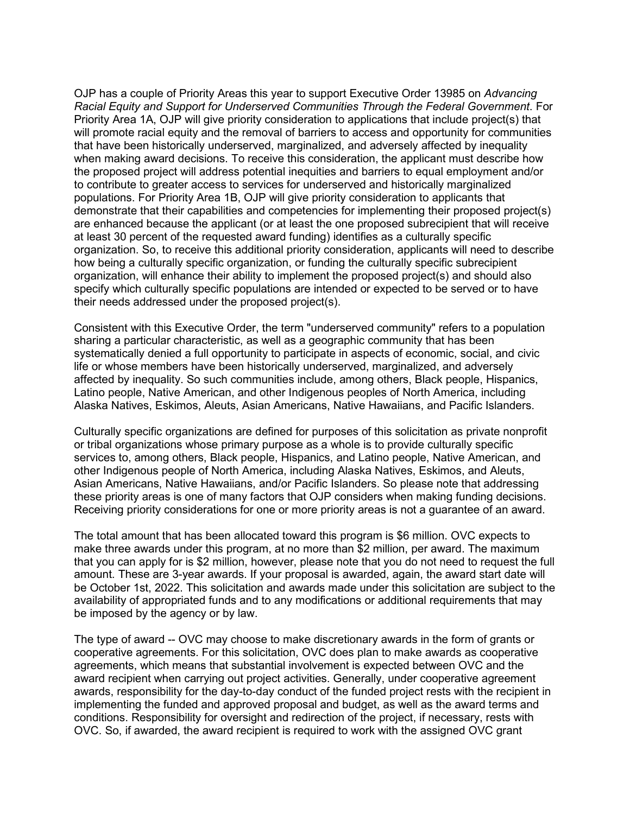OJP has a couple of Priority Areas this year to support Executive Order 13985 on *Advancing Racial Equity and Support for Underserved Communities Through the Federal Government*. For Priority Area 1A, OJP will give priority consideration to applications that include project(s) that will promote racial equity and the removal of barriers to access and opportunity for communities that have been historically underserved, marginalized, and adversely affected by inequality when making award decisions. To receive this consideration, the applicant must describe how the proposed project will address potential inequities and barriers to equal employment and/or to contribute to greater access to services for underserved and historically marginalized populations. For Priority Area 1B, OJP will give priority consideration to applicants that demonstrate that their capabilities and competencies for implementing their proposed project(s) are enhanced because the applicant (or at least the one proposed subrecipient that will receive at least 30 percent of the requested award funding) identifies as a culturally specific organization. So, to receive this additional priority consideration, applicants will need to describe how being a culturally specific organization, or funding the culturally specific subrecipient organization, will enhance their ability to implement the proposed project(s) and should also specify which culturally specific populations are intended or expected to be served or to have their needs addressed under the proposed project(s).

Consistent with this Executive Order, the term "underserved community" refers to a population sharing a particular characteristic, as well as a geographic community that has been systematically denied a full opportunity to participate in aspects of economic, social, and civic life or whose members have been historically underserved, marginalized, and adversely affected by inequality. So such communities include, among others, Black people, Hispanics, Latino people, Native American, and other Indigenous peoples of North America, including Alaska Natives, Eskimos, Aleuts, Asian Americans, Native Hawaiians, and Pacific Islanders.

Culturally specific organizations are defined for purposes of this solicitation as private nonprofit or tribal organizations whose primary purpose as a whole is to provide culturally specific services to, among others, Black people, Hispanics, and Latino people, Native American, and other Indigenous people of North America, including Alaska Natives, Eskimos, and Aleuts, Asian Americans, Native Hawaiians, and/or Pacific Islanders. So please note that addressing these priority areas is one of many factors that OJP considers when making funding decisions. Receiving priority considerations for one or more priority areas is not a guarantee of an award.

The total amount that has been allocated toward this program is \$6 million. OVC expects to make three awards under this program, at no more than \$2 million, per award. The maximum that you can apply for is \$2 million, however, please note that you do not need to request the full amount. These are 3-year awards. If your proposal is awarded, again, the award start date will be October 1st, 2022. This solicitation and awards made under this solicitation are subject to the availability of appropriated funds and to any modifications or additional requirements that may be imposed by the agency or by law.

The type of award -- OVC may choose to make discretionary awards in the form of grants or cooperative agreements. For this solicitation, OVC does plan to make awards as cooperative agreements, which means that substantial involvement is expected between OVC and the award recipient when carrying out project activities. Generally, under cooperative agreement awards, responsibility for the day-to-day conduct of the funded project rests with the recipient in implementing the funded and approved proposal and budget, as well as the award terms and conditions. Responsibility for oversight and redirection of the project, if necessary, rests with OVC. So, if awarded, the award recipient is required to work with the assigned OVC grant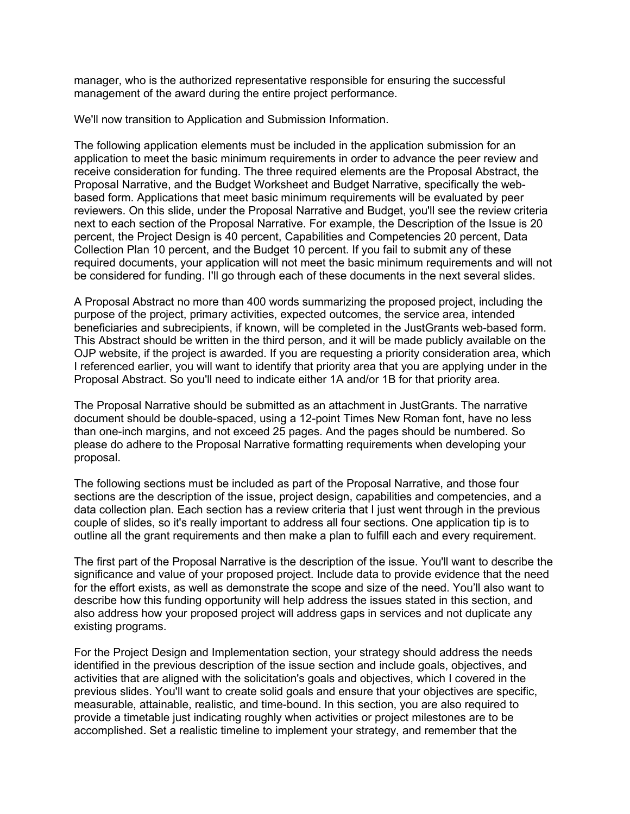manager, who is the authorized representative responsible for ensuring the successful management of the award during the entire project performance.

We'll now transition to Application and Submission Information.

The following application elements must be included in the application submission for an application to meet the basic minimum requirements in order to advance the peer review and receive consideration for funding. The three required elements are the Proposal Abstract, the Proposal Narrative, and the Budget Worksheet and Budget Narrative, specifically the webbased form. Applications that meet basic minimum requirements will be evaluated by peer reviewers. On this slide, under the Proposal Narrative and Budget, you'll see the review criteria next to each section of the Proposal Narrative. For example, the Description of the Issue is 20 percent, the Project Design is 40 percent, Capabilities and Competencies 20 percent, Data Collection Plan 10 percent, and the Budget 10 percent. If you fail to submit any of these required documents, your application will not meet the basic minimum requirements and will not be considered for funding. I'll go through each of these documents in the next several slides.

A Proposal Abstract no more than 400 words summarizing the proposed project, including the purpose of the project, primary activities, expected outcomes, the service area, intended beneficiaries and subrecipients, if known, will be completed in the JustGrants web-based form. This Abstract should be written in the third person, and it will be made publicly available on the OJP website, if the project is awarded. If you are requesting a priority consideration area, which I referenced earlier, you will want to identify that priority area that you are applying under in the Proposal Abstract. So you'll need to indicate either 1A and/or 1B for that priority area.

The Proposal Narrative should be submitted as an attachment in JustGrants. The narrative document should be double-spaced, using a 12-point Times New Roman font, have no less than one-inch margins, and not exceed 25 pages. And the pages should be numbered. So please do adhere to the Proposal Narrative formatting requirements when developing your proposal.

The following sections must be included as part of the Proposal Narrative, and those four sections are the description of the issue, project design, capabilities and competencies, and a data collection plan. Each section has a review criteria that I just went through in the previous couple of slides, so it's really important to address all four sections. One application tip is to outline all the grant requirements and then make a plan to fulfill each and every requirement.

The first part of the Proposal Narrative is the description of the issue. You'll want to describe the significance and value of your proposed project. Include data to provide evidence that the need for the effort exists, as well as demonstrate the scope and size of the need. You'll also want to describe how this funding opportunity will help address the issues stated in this section, and also address how your proposed project will address gaps in services and not duplicate any existing programs.

For the Project Design and Implementation section, your strategy should address the needs identified in the previous description of the issue section and include goals, objectives, and activities that are aligned with the solicitation's goals and objectives, which I covered in the previous slides. You'll want to create solid goals and ensure that your objectives are specific, measurable, attainable, realistic, and time-bound. In this section, you are also required to provide a timetable just indicating roughly when activities or project milestones are to be accomplished. Set a realistic timeline to implement your strategy, and remember that the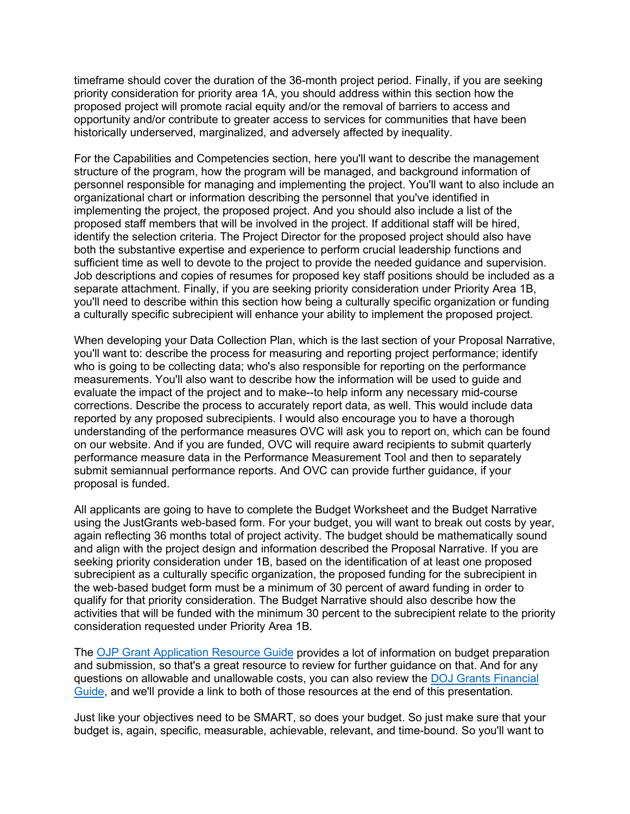timeframe should cover the duration of the 36-month project period. Finally, if you are seeking priority consideration for priority area 1A, you should address within this section how the proposed project will promote racial equity and/or the removal of barriers to access and opportunity and/or contribute to greater access to services for communities that have been historically underserved, marginalized, and adversely affected by inequality.

For the Capabilities and Competencies section, here you'll want to describe the management structure of the program, how the program will be managed, and background information of personnel responsible for managing and implementing the project. You'll want to also include an organizational chart or information describing the personnel that you've identified in implementing the project, the proposed project. And you should also include a list of the proposed staff members that will be involved in the project. If additional staff will be hired, identify the selection criteria. The Project Director for the proposed project should also have both the substantive expertise and experience to perform crucial leadership functions and sufficient time as well to devote to the project to provide the needed guidance and supervision. Job descriptions and copies of resumes for proposed key staff positions should be included as a separate attachment. Finally, if you are seeking priority consideration under Priority Area 1B, you'll need to describe within this section how being a culturally specific organization or funding a culturally specific subrecipient will enhance your ability to implement the proposed project.

When developing your Data Collection Plan, which is the last section of your Proposal Narrative, you'll want to: describe the process for measuring and reporting project performance; identify who is going to be collecting data; who's also responsible for reporting on the performance measurements. You'll also want to describe how the information will be used to guide and evaluate the impact of the project and to make--to help inform any necessary mid-course corrections. Describe the process to accurately report data, as well. This would include data reported by any proposed subrecipients. I would also encourage you to have a thorough understanding of the performance measures OVC will ask you to report on, which can be found on our website. And if you are funded, OVC will require award recipients to submit quarterly performance measure data in the Performance Measurement Tool and then to separately submit semiannual performance reports. And OVC can provide further guidance, if your proposal is funded.

All applicants are going to have to complete the Budget Worksheet and the Budget Narrative using the JustGrants web-based form. For your budget, you will want to break out costs by year, again reflecting 36 months total of project activity. The budget should be mathematically sound and align with the project design and information described the Proposal Narrative. If you are seeking priority consideration under 1B, based on the identification of at least one proposed subrecipient as a culturally specific organization, the proposed funding for the subrecipient in the web-based budget form must be a minimum of 30 percent of award funding in order to qualify for that priority consideration. The Budget Narrative should also describe how the activities that will be funded with the minimum 30 percent to the subrecipient relate to the priority consideration requested under Priority Area 1B.

The [OJP Grant Application Resource Guide](https://www.ojp.gov/funding/apply/ojp-grant-application-resource-guide) provides a lot of information on budget preparation and submission, so that's a great resource to review for further guidance on that. And for any questions on allowable and unallowable costs, you can also review the [DOJ Grants Financial](https://www.ojp.gov/funding/financialguidedoj/overview)  [Guide,](https://www.ojp.gov/funding/financialguidedoj/overview) and we'll provide a link to both of those resources at the end of this presentation.

Just like your objectives need to be SMART, so does your budget. So just make sure that your budget is, again, specific, measurable, achievable, relevant, and time-bound. So you'll want to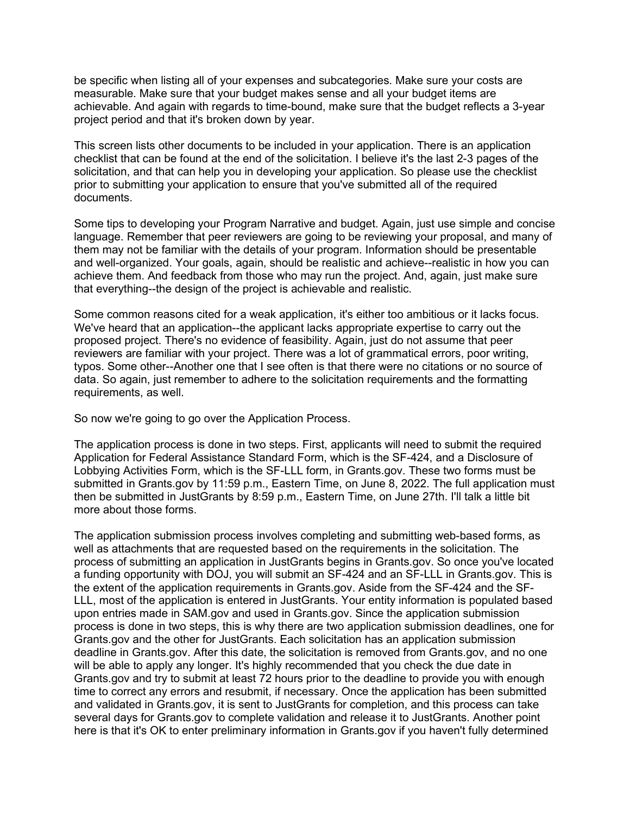be specific when listing all of your expenses and subcategories. Make sure your costs are measurable. Make sure that your budget makes sense and all your budget items are achievable. And again with regards to time-bound, make sure that the budget reflects a 3-year project period and that it's broken down by year.

This screen lists other documents to be included in your application. There is an application checklist that can be found at the end of the solicitation. I believe it's the last 2-3 pages of the solicitation, and that can help you in developing your application. So please use the checklist prior to submitting your application to ensure that you've submitted all of the required documents.

Some tips to developing your Program Narrative and budget. Again, just use simple and concise language. Remember that peer reviewers are going to be reviewing your proposal, and many of them may not be familiar with the details of your program. Information should be presentable and well-organized. Your goals, again, should be realistic and achieve--realistic in how you can achieve them. And feedback from those who may run the project. And, again, just make sure that everything--the design of the project is achievable and realistic.

Some common reasons cited for a weak application, it's either too ambitious or it lacks focus. We've heard that an application--the applicant lacks appropriate expertise to carry out the proposed project. There's no evidence of feasibility. Again, just do not assume that peer reviewers are familiar with your project. There was a lot of grammatical errors, poor writing, typos. Some other--Another one that I see often is that there were no citations or no source of data. So again, just remember to adhere to the solicitation requirements and the formatting requirements, as well.

So now we're going to go over the Application Process.

The application process is done in two steps. First, applicants will need to submit the required Application for Federal Assistance Standard Form, which is the SF-424, and a Disclosure of Lobbying Activities Form, which is the SF-LLL form, in Grants.gov. These two forms must be submitted in Grants.gov by 11:59 p.m., Eastern Time, on June 8, 2022. The full application must then be submitted in JustGrants by 8:59 p.m., Eastern Time, on June 27th. I'll talk a little bit more about those forms.

The application submission process involves completing and submitting web-based forms, as well as attachments that are requested based on the requirements in the solicitation. The process of submitting an application in JustGrants begins in Grants.gov. So once you've located a funding opportunity with DOJ, you will submit an SF-424 and an SF-LLL in Grants.gov. This is the extent of the application requirements in Grants.gov. Aside from the SF-424 and the SF-LLL, most of the application is entered in JustGrants. Your entity information is populated based upon entries made in SAM.gov and used in Grants.gov. Since the application submission process is done in two steps, this is why there are two application submission deadlines, one for Grants.gov and the other for JustGrants. Each solicitation has an application submission deadline in Grants.gov. After this date, the solicitation is removed from Grants.gov, and no one will be able to apply any longer. It's highly recommended that you check the due date in Grants.gov and try to submit at least 72 hours prior to the deadline to provide you with enough time to correct any errors and resubmit, if necessary. Once the application has been submitted and validated in Grants.gov, it is sent to JustGrants for completion, and this process can take several days for Grants.gov to complete validation and release it to JustGrants. Another point here is that it's OK to enter preliminary information in Grants.gov if you haven't fully determined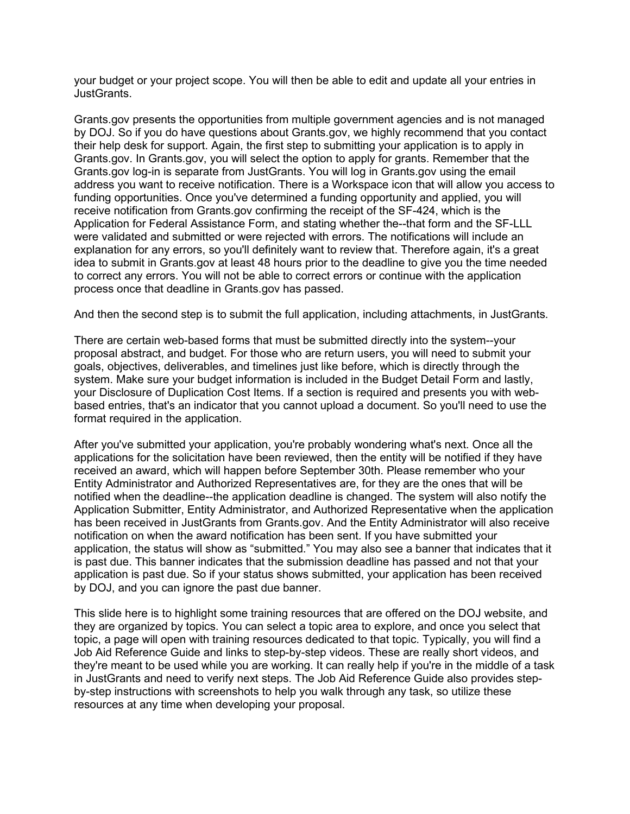your budget or your project scope. You will then be able to edit and update all your entries in JustGrants.

Grants.gov presents the opportunities from multiple government agencies and is not managed by DOJ. So if you do have questions about Grants.gov, we highly recommend that you contact their help desk for support. Again, the first step to submitting your application is to apply in Grants.gov. In Grants.gov, you will select the option to apply for grants. Remember that the Grants.gov log-in is separate from JustGrants. You will log in Grants.gov using the email address you want to receive notification. There is a Workspace icon that will allow you access to funding opportunities. Once you've determined a funding opportunity and applied, you will receive notification from Grants.gov confirming the receipt of the SF-424, which is the Application for Federal Assistance Form, and stating whether the--that form and the SF-LLL were validated and submitted or were rejected with errors. The notifications will include an explanation for any errors, so you'll definitely want to review that. Therefore again, it's a great idea to submit in Grants.gov at least 48 hours prior to the deadline to give you the time needed to correct any errors. You will not be able to correct errors or continue with the application process once that deadline in Grants.gov has passed.

And then the second step is to submit the full application, including attachments, in JustGrants.

There are certain web-based forms that must be submitted directly into the system--your proposal abstract, and budget. For those who are return users, you will need to submit your goals, objectives, deliverables, and timelines just like before, which is directly through the system. Make sure your budget information is included in the Budget Detail Form and lastly, your Disclosure of Duplication Cost Items. If a section is required and presents you with webbased entries, that's an indicator that you cannot upload a document. So you'll need to use the format required in the application.

After you've submitted your application, you're probably wondering what's next. Once all the applications for the solicitation have been reviewed, then the entity will be notified if they have received an award, which will happen before September 30th. Please remember who your Entity Administrator and Authorized Representatives are, for they are the ones that will be notified when the deadline--the application deadline is changed. The system will also notify the Application Submitter, Entity Administrator, and Authorized Representative when the application has been received in JustGrants from Grants.gov. And the Entity Administrator will also receive notification on when the award notification has been sent. If you have submitted your application, the status will show as "submitted." You may also see a banner that indicates that it is past due. This banner indicates that the submission deadline has passed and not that your application is past due. So if your status shows submitted, your application has been received by DOJ, and you can ignore the past due banner.

This slide here is to highlight some training resources that are offered on the DOJ website, and they are organized by topics. You can select a topic area to explore, and once you select that topic, a page will open with training resources dedicated to that topic. Typically, you will find a Job Aid Reference Guide and links to step-by-step videos. These are really short videos, and they're meant to be used while you are working. It can really help if you're in the middle of a task in JustGrants and need to verify next steps. The Job Aid Reference Guide also provides stepby-step instructions with screenshots to help you walk through any task, so utilize these resources at any time when developing your proposal.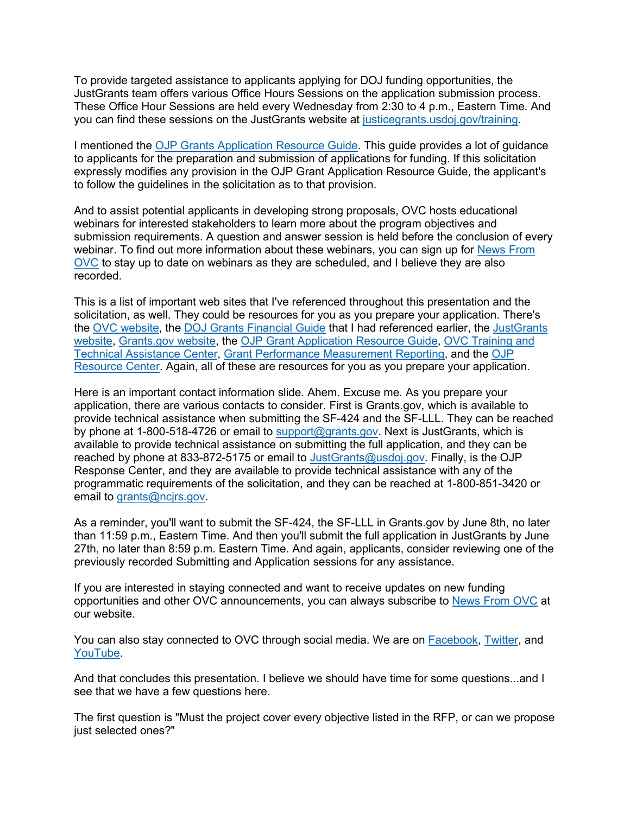To provide targeted assistance to applicants applying for DOJ funding opportunities, the JustGrants team offers various Office Hours Sessions on the application submission process. These Office Hour Sessions are held every Wednesday from 2:30 to 4 p.m., Eastern Time. And you can find these sessions on the JustGrants website at [justicegrants.usdoj.gov/training.](https://justicegrants.usdoj.gov/training)

I mentioned the [OJP Grants Application Resource Guide.](https://www.ojp.gov/funding/apply/ojp-grant-application-resource-guide) This guide provides a lot of guidance to applicants for the preparation and submission of applications for funding. If this solicitation expressly modifies any provision in the OJP Grant Application Resource Guide, the applicant's to follow the guidelines in the solicitation as to that provision.

And to assist potential applicants in developing strong proposals, OVC hosts educational webinars for interested stakeholders to learn more about the program objectives and submission requirements. A question and answer session is held before the conclusion of every webinar. To find out more information about these webinars, you can sign up for News From [OVC](https://puborder.ncjrs.gov/Listservs/subscribe_newsfromovc.asp) to stay up to date on webinars as they are scheduled, and I believe they are also recorded.

This is a list of important web sites that I've referenced throughout this presentation and the solicitation, as well. They could be resources for you as you prepare your application. There's the [OVC website,](https://ovc.ojp.gov/) the [DOJ Grants Financial Guide](https://www.ojp.gov/funding/financialguidedoj/overview) that I had referenced earlier, the [JustGrants](https://justgrants.usdoj.gov/)  [website,](https://justgrants.usdoj.gov/) [Grants.gov website,](https://twitter/OJPOVC) the [OJP Grant Application Resource Guide,](https://www.ojp.gov/funding/apply/ojp-grant-application-resource-guide) [OVC Training and](http://www.ovcttac.gov/)  [Technical Assistance Center,](http://www.ovcttac.gov/) [Grant Performance Measurement Reporting,](https://ojp.gov/performance) and the [OJP](https://ojp.gov/ncjrs/new-ojp-resources)  [Resource Center.](https://ojp.gov/ncjrs/new-ojp-resources) Again, all of these are resources for you as you prepare your application.

Here is an important contact information slide. Ahem. Excuse me. As you prepare your application, there are various contacts to consider. First is Grants.gov, which is available to provide technical assistance when submitting the SF-424 and the SF-LLL. They can be reached by phone at 1-800-518-4726 or email to [support@grants.gov.](mailto:support@grants.gov) Next is JustGrants, which is available to provide technical assistance on submitting the full application, and they can be reached by phone at 833-872-5175 or email to [JustGrants@usdoj.gov.](mailto:JustGrants@usdoj.gov) Finally, is the OJP Response Center, and they are available to provide technical assistance with any of the programmatic requirements of the solicitation, and they can be reached at 1-800-851-3420 or email to [grants@ncjrs.gov.](mailto:grants@ncjrs.gov)

As a reminder, you'll want to submit the SF-424, the SF-LLL in Grants.gov by June 8th, no later than 11:59 p.m., Eastern Time. And then you'll submit the full application in JustGrants by June 27th, no later than 8:59 p.m. Eastern Time. And again, applicants, consider reviewing one of the previously recorded Submitting and Application sessions for any assistance.

If you are interested in staying connected and want to receive updates on new funding opportunities and other OVC announcements, you can always subscribe to [News From OVC](https://puborder.ncjrs.gov/Listservs/subscribe_newsfromovc.asp) at our website.

You can also stay connected to OVC through social media. We are on [Facebook,](https://www.facebook.com/OJPOVC) [Twitter,](http://www.twitter/ojpovc) and [YouTube.](https://www.youtube.com/user/OJPOVC)

And that concludes this presentation. I believe we should have time for some questions...and I see that we have a few questions here.

The first question is "Must the project cover every objective listed in the RFP, or can we propose just selected ones?"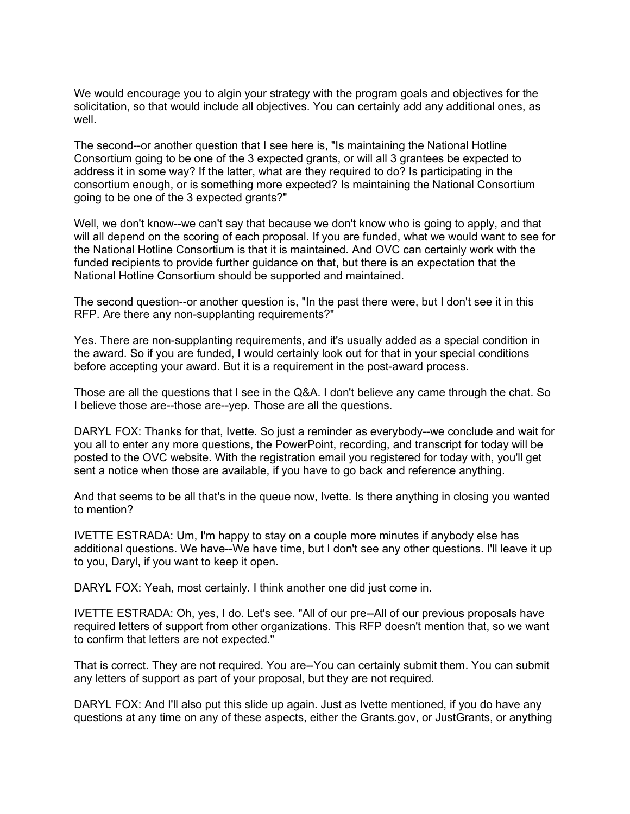We would encourage you to algin your strategy with the program goals and objectives for the solicitation, so that would include all objectives. You can certainly add any additional ones, as well.

The second--or another question that I see here is, "Is maintaining the National Hotline Consortium going to be one of the 3 expected grants, or will all 3 grantees be expected to address it in some way? If the latter, what are they required to do? Is participating in the consortium enough, or is something more expected? Is maintaining the National Consortium going to be one of the 3 expected grants?"

Well, we don't know--we can't say that because we don't know who is going to apply, and that will all depend on the scoring of each proposal. If you are funded, what we would want to see for the National Hotline Consortium is that it is maintained. And OVC can certainly work with the funded recipients to provide further guidance on that, but there is an expectation that the National Hotline Consortium should be supported and maintained.

The second question--or another question is, "In the past there were, but I don't see it in this RFP. Are there any non-supplanting requirements?"

Yes. There are non-supplanting requirements, and it's usually added as a special condition in the award. So if you are funded, I would certainly look out for that in your special conditions before accepting your award. But it is a requirement in the post-award process.

Those are all the questions that I see in the Q&A. I don't believe any came through the chat. So I believe those are--those are--yep. Those are all the questions.

DARYL FOX: Thanks for that, Ivette. So just a reminder as everybody--we conclude and wait for you all to enter any more questions, the PowerPoint, recording, and transcript for today will be posted to the OVC website. With the registration email you registered for today with, you'll get sent a notice when those are available, if you have to go back and reference anything.

And that seems to be all that's in the queue now, Ivette. Is there anything in closing you wanted to mention?

IVETTE ESTRADA: Um, I'm happy to stay on a couple more minutes if anybody else has additional questions. We have--We have time, but I don't see any other questions. I'll leave it up to you, Daryl, if you want to keep it open.

DARYL FOX: Yeah, most certainly. I think another one did just come in.

IVETTE ESTRADA: Oh, yes, I do. Let's see. "All of our pre--All of our previous proposals have required letters of support from other organizations. This RFP doesn't mention that, so we want to confirm that letters are not expected."

That is correct. They are not required. You are--You can certainly submit them. You can submit any letters of support as part of your proposal, but they are not required.

DARYL FOX: And I'll also put this slide up again. Just as Ivette mentioned, if you do have any questions at any time on any of these aspects, either the Grants.gov, or JustGrants, or anything